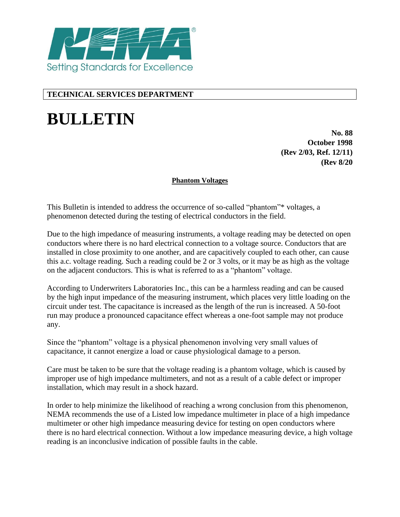

# **TECHNICAL SERVICES DEPARTMENT**

# **BULLETIN**

**No. 88 October 1998 (Rev 2/03, Ref. 12/11) (Rev 8/20**

## **Phantom Voltages**

This Bulletin is intended to address the occurrence of so-called "phantom"\* voltages, a phenomenon detected during the testing of electrical conductors in the field.

Due to the high impedance of measuring instruments, a voltage reading may be detected on open conductors where there is no hard electrical connection to a voltage source. Conductors that are installed in close proximity to one another, and are capacitively coupled to each other, can cause this a.c. voltage reading. Such a reading could be 2 or 3 volts, or it may be as high as the voltage on the adjacent conductors. This is what is referred to as a "phantom" voltage.

According to Underwriters Laboratories Inc., this can be a harmless reading and can be caused by the high input impedance of the measuring instrument, which places very little loading on the circuit under test. The capacitance is increased as the length of the run is increased. A 50-foot run may produce a pronounced capacitance effect whereas a one-foot sample may not produce any.

Since the "phantom" voltage is a physical phenomenon involving very small values of capacitance, it cannot energize a load or cause physiological damage to a person.

Care must be taken to be sure that the voltage reading is a phantom voltage, which is caused by improper use of high impedance multimeters, and not as a result of a cable defect or improper installation, which may result in a shock hazard.

In order to help minimize the likelihood of reaching a wrong conclusion from this phenomenon, NEMA recommends the use of a Listed low impedance multimeter in place of a high impedance multimeter or other high impedance measuring device for testing on open conductors where there is no hard electrical connection. Without a low impedance measuring device, a high voltage reading is an inconclusive indication of possible faults in the cable.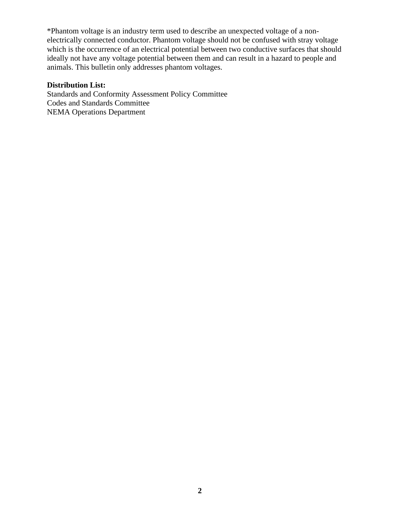\*Phantom voltage is an industry term used to describe an unexpected voltage of a nonelectrically connected conductor. Phantom voltage should not be confused with stray voltage which is the occurrence of an electrical potential between two conductive surfaces that should ideally not have any voltage potential between them and can result in a hazard to people and animals. This bulletin only addresses phantom voltages.

#### **Distribution List:**

Standards and Conformity Assessment Policy Committee Codes and Standards Committee NEMA Operations Department